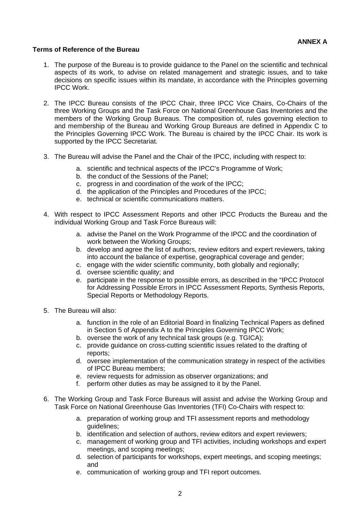## **Terms of Reference of the Bureau**

- 1. The purpose of the Bureau is to provide guidance to the Panel on the scientific and technical aspects of its work, to advise on related management and strategic issues, and to take decisions on specific issues within its mandate, in accordance with the Principles governing IPCC Work.
- 2. The IPCC Bureau consists of the IPCC Chair, three IPCC Vice Chairs, Co-Chairs of the three Working Groups and the Task Force on National Greenhouse Gas Inventories and the members of the Working Group Bureaus. The composition of, rules governing election to and membership of the Bureau and Working Group Bureaus are defined in Appendix C to the Principles Governing IPCC Work. The Bureau is chaired by the IPCC Chair. Its work is supported by the IPCC Secretariat.
- 3. The Bureau will advise the Panel and the Chair of the IPCC, including with respect to:
	- a. scientific and technical aspects of the IPCC's Programme of Work;
	- b. the conduct of the Sessions of the Panel;
	- c. progress in and coordination of the work of the IPCC;
	- d. the application of the Principles and Procedures of the IPCC;
	- e. technical or scientific communications matters.
- 4. With respect to IPCC Assessment Reports and other IPCC Products the Bureau and the individual Working Group and Task Force Bureaus will:
	- a. advise the Panel on the Work Programme of the IPCC and the coordination of work between the Working Groups;
	- b. develop and agree the list of authors, review editors and expert reviewers, taking into account the balance of expertise, geographical coverage and gender;
	- c. engage with the wider scientific community, both globally and regionally;
	- d. oversee scientific quality; and
	- e. participate in the response to possible errors, as described in the "IPCC Protocol for Addressing Possible Errors in IPCC Assessment Reports, Synthesis Reports, Special Reports or Methodology Reports.
- 5. The Bureau will also:
	- a. function in the role of an Editorial Board in finalizing Technical Papers as defined in Section 5 of Appendix A to the Principles Governing IPCC Work;
	- b. oversee the work of any technical task groups (e.g. TGICA);
	- c. provide guidance on cross-cutting scientific issues related to the drafting of reports;
	- d. oversee implementation of the communication strategy in respect of the activities of IPCC Bureau members;
	- e. review requests for admission as observer organizations; and
	- f. perform other duties as may be assigned to it by the Panel.
- 6. The Working Group and Task Force Bureaus will assist and advise the Working Group and Task Force on National Greenhouse Gas Inventories (TFI) Co-Chairs with respect to:
	- a. preparation of working group and TFI assessment reports and methodology guidelines;
	- b. identification and selection of authors, review editors and expert reviewers;
	- c. management of working group and TFI activities, including workshops and expert meetings, and scoping meetings;
	- d. selection of participants for workshops, expert meetings, and scoping meetings; and
	- e. communication of working group and TFI report outcomes.